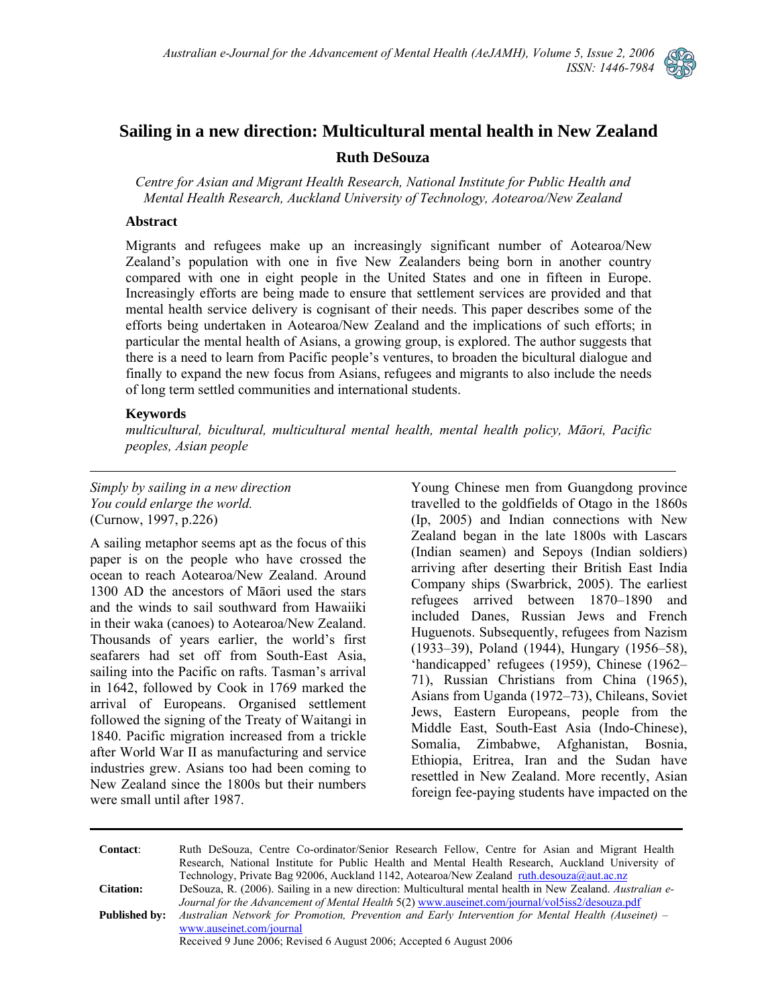

# **Sailing in a new direction: Multicultural mental health in New Zealand**

### **Ruth DeSouza**

*Centre for Asian and Migrant Health Research, National Institute for Public Health and Mental Health Research, Auckland University of Technology, Aotearoa/New Zealand* 

#### **Abstract**

Migrants and refugees make up an increasingly significant number of Aotearoa/New Zealand's population with one in five New Zealanders being born in another country compared with one in eight people in the United States and one in fifteen in Europe. Increasingly efforts are being made to ensure that settlement services are provided and that mental health service delivery is cognisant of their needs. This paper describes some of the efforts being undertaken in Aotearoa/New Zealand and the implications of such efforts; in particular the mental health of Asians, a growing group, is explored. The author suggests that there is a need to learn from Pacific people's ventures, to broaden the bicultural dialogue and finally to expand the new focus from Asians, refugees and migrants to also include the needs of long term settled communities and international students.

#### **Keywords**

*multicultural, bicultural, multicultural mental health, mental health policy, Māori, Pacific peoples, Asian people* 

*Simply by sailing in a new direction You could enlarge the world.*  (Curnow, 1997, p.226)

A sailing metaphor seems apt as the focus of this paper is on the people who have crossed the ocean to reach Aotearoa/New Zealand. Around 1300 AD the ancestors of Māori used the stars and the winds to sail southward from Hawaiiki in their waka (canoes) to Aotearoa/New Zealand. Thousands of years earlier, the world's first seafarers had set off from South-East Asia, sailing into the Pacific on rafts. Tasman's arrival in 1642, followed by Cook in 1769 marked the arrival of Europeans. Organised settlement followed the signing of the Treaty of Waitangi in 1840. Pacific migration increased from a trickle after World War II as manufacturing and service industries grew. Asians too had been coming to New Zealand since the 1800s but their numbers were small until after 1987.

Young Chinese men from Guangdong province travelled to the goldfields of Otago in the 1860s (Ip, 2005) and Indian connections with New Zealand began in the late 1800s with Lascars (Indian seamen) and Sepoys (Indian soldiers) arriving after deserting their British East India Company ships (Swarbrick, 2005). The earliest refugees arrived between 1870–1890 and included Danes, Russian Jews and French Huguenots. Subsequently, refugees from Nazism (1933–39), Poland (1944), Hungary (1956–58), 'handicapped' refugees (1959), Chinese (1962– 71), Russian Christians from China (1965), Asians from Uganda (1972–73), Chileans, Soviet Jews, Eastern Europeans, people from the Middle East, South-East Asia (Indo-Chinese), Somalia, Zimbabwe, Afghanistan, Bosnia, Ethiopia, Eritrea, Iran and the Sudan have resettled in New Zealand. More recently, Asian foreign fee-paying students have impacted on the

**Contact**: Ruth DeSouza, Centre Co-ordinator/Senior Research Fellow, Centre for Asian and Migrant Health Research, National Institute for Public Health and Mental Health Research, Auckland University of Technology, Private Bag 92006, Auckland 1142, Aotearoa/New Zealand ruth.desouza@aut.ac.nz **Citation:** DeSouza, R. (2006). Sailing in a new direction: Multicultural mental health in New Zealand. *Australian e-Journal for the Advancement of Mental Health* 5(2) [www.auseinet.com/journal/vol5iss2/desouza.pdf](http://www.auseinet.com/journal/vol5iss2/desouza.pdf) **Published by:** *Australian Network for Promotion, Prevention and Early Intervention for Mental Health (Auseinet) –* [www.auseinet.com/journal](http://www.auseinet.com/journal)

Received 9 June 2006; Revised 6 August 2006; Accepted 6 August 2006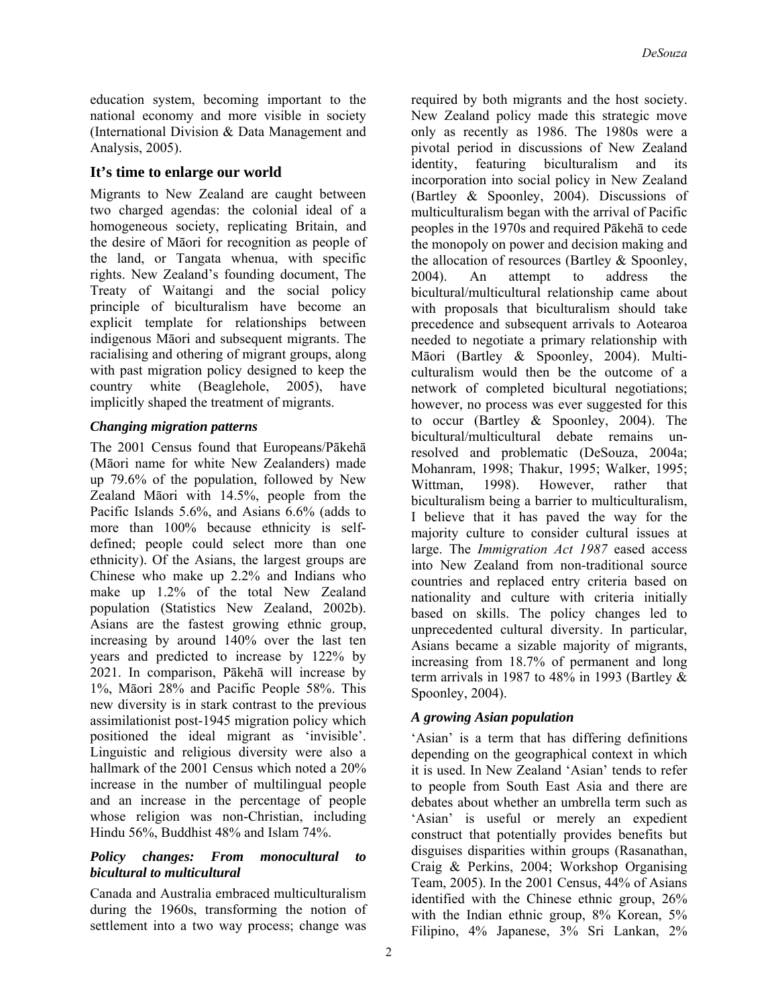education system, becoming important to the national economy and more visible in society (International Division & Data Management and Analysis, 2005).

# **It's time to enlarge our world**

Migrants to New Zealand are caught between two charged agendas: the colonial ideal of a homogeneous society, replicating Britain, and the desire of Māori for recognition as people of the land, or Tangata whenua, with specific rights. New Zealand's founding document, The Treaty of Waitangi and the social policy principle of biculturalism have become an explicit template for relationships between indigenous Māori and subsequent migrants. The racialising and othering of migrant groups, along with past migration policy designed to keep the country white (Beaglehole, 2005), have implicitly shaped the treatment of migrants.

# *Changing migration patterns*

The 2001 Census found that Europeans/Pākehā (Māori name for white New Zealanders) made up 79.6% of the population, followed by New Zealand Māori with 14.5%, people from the Pacific Islands 5.6%, and Asians 6.6% (adds to more than 100% because ethnicity is selfdefined; people could select more than one ethnicity). Of the Asians, the largest groups are Chinese who make up 2.2% and Indians who make up 1.2% of the total New Zealand population (Statistics New Zealand, 2002b). Asians are the fastest growing ethnic group, increasing by around 140% over the last ten years and predicted to increase by 122% by 2021. In comparison, Pākehā will increase by 1%, Māori 28% and Pacific People 58%. This new diversity is in stark contrast to the previous assimilationist post-1945 migration policy which positioned the ideal migrant as 'invisible'. Linguistic and religious diversity were also a hallmark of the 2001 Census which noted a 20% increase in the number of multilingual people and an increase in the percentage of people whose religion was non-Christian, including Hindu 56%, Buddhist 48% and Islam 74%.

### *Policy changes: From monocultural to bicultural to multicultural*

Canada and Australia embraced multiculturalism during the 1960s, transforming the notion of settlement into a two way process; change was

required by both migrants and the host society. New Zealand policy made this strategic move only as recently as 1986. The 1980s were a pivotal period in discussions of New Zealand identity, featuring biculturalism and its incorporation into social policy in New Zealand (Bartley & Spoonley, 2004). Discussions of multiculturalism began with the arrival of Pacific peoples in the 1970s and required Pākehā to cede the monopoly on power and decision making and the allocation of resources (Bartley & Spoonley, 2004). An attempt to address the bicultural/multicultural relationship came about with proposals that biculturalism should take precedence and subsequent arrivals to Aotearoa needed to negotiate a primary relationship with Māori (Bartley & Spoonley, 2004). Multiculturalism would then be the outcome of a network of completed bicultural negotiations; however, no process was ever suggested for this to occur (Bartley & Spoonley, 2004). The bicultural/multicultural debate remains unresolved and problematic (DeSouza, 2004a; Mohanram, 1998; Thakur, 1995; Walker, 1995; Wittman, 1998). However, rather that biculturalism being a barrier to multiculturalism, I believe that it has paved the way for the majority culture to consider cultural issues at large. The *Immigration Act 1987* eased access into New Zealand from non-traditional source countries and replaced entry criteria based on nationality and culture with criteria initially based on skills. The policy changes led to unprecedented cultural diversity. In particular, Asians became a sizable majority of migrants, increasing from 18.7% of permanent and long term arrivals in 1987 to 48% in 1993 (Bartley & Spoonley, 2004).

# *A growing Asian population*

'Asian' is a term that has differing definitions depending on the geographical context in which it is used. In New Zealand 'Asian' tends to refer to people from South East Asia and there are debates about whether an umbrella term such as 'Asian' is useful or merely an expedient construct that potentially provides benefits but disguises disparities within groups (Rasanathan, Craig & Perkins, 2004; Workshop Organising Team, 2005). In the 2001 Census, 44% of Asians identified with the Chinese ethnic group, 26% with the Indian ethnic group, 8% Korean, 5% Filipino, 4% Japanese, 3% Sri Lankan, 2%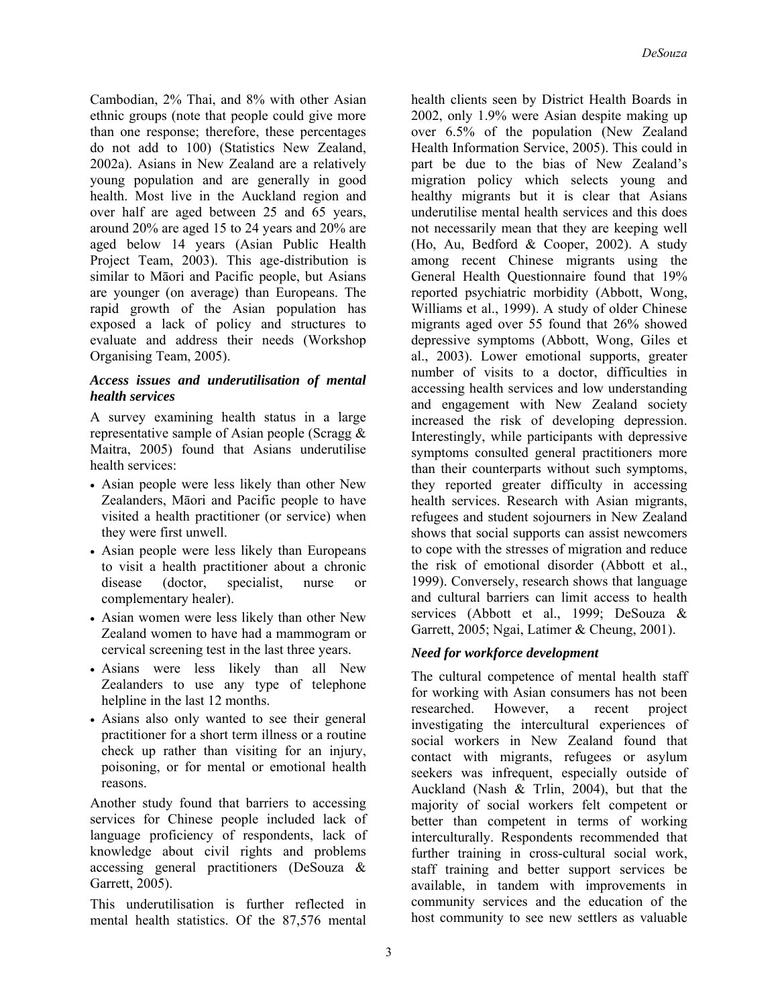Cambodian, 2% Thai, and 8% with other Asian ethnic groups (note that people could give more than one response; therefore, these percentages do not add to 100) (Statistics New Zealand, 2002a). Asians in New Zealand are a relatively young population and are generally in good health. Most live in the Auckland region and over half are aged between 25 and 65 years, around 20% are aged 15 to 24 years and 20% are aged below 14 years (Asian Public Health Project Team, 2003). This age-distribution is similar to Māori and Pacific people, but Asians are younger (on average) than Europeans. The rapid growth of the Asian population has exposed a lack of policy and structures to evaluate and address their needs (Workshop Organising Team, 2005).

### *Access issues and underutilisation of mental health services*

A survey examining health status in a large representative sample of Asian people (Scragg & Maitra, 2005) found that Asians underutilise health services:

- Asian people were less likely than other New Zealanders, Māori and Pacific people to have visited a health practitioner (or service) when they were first unwell.
- Asian people were less likely than Europeans to visit a health practitioner about a chronic disease (doctor, specialist, nurse or complementary healer).
- Asian women were less likely than other New Zealand women to have had a mammogram or cervical screening test in the last three years.
- Asians were less likely than all New Zealanders to use any type of telephone helpline in the last 12 months.
- Asians also only wanted to see their general practitioner for a short term illness or a routine check up rather than visiting for an injury, poisoning, or for mental or emotional health reasons.

Another study found that barriers to accessing services for Chinese people included lack of language proficiency of respondents, lack of knowledge about civil rights and problems accessing general practitioners (DeSouza & Garrett, 2005).

This underutilisation is further reflected in mental health statistics. Of the 87,576 mental

health clients seen by District Health Boards in 2002, only 1.9% were Asian despite making up over 6.5% of the population (New Zealand Health Information Service, 2005). This could in part be due to the bias of New Zealand's migration policy which selects young and healthy migrants but it is clear that Asians underutilise mental health services and this does not necessarily mean that they are keeping well (Ho, Au, Bedford & Cooper, 2002). A study among recent Chinese migrants using the General Health Questionnaire found that 19% reported psychiatric morbidity (Abbott, Wong, Williams et al., 1999). A study of older Chinese migrants aged over 55 found that 26% showed depressive symptoms (Abbott, Wong, Giles et al., 2003). Lower emotional supports, greater number of visits to a doctor, difficulties in accessing health services and low understanding and engagement with New Zealand society increased the risk of developing depression. Interestingly, while participants with depressive symptoms consulted general practitioners more than their counterparts without such symptoms, they reported greater difficulty in accessing health services. Research with Asian migrants, refugees and student sojourners in New Zealand shows that social supports can assist newcomers to cope with the stresses of migration and reduce the risk of emotional disorder (Abbott et al., 1999). Conversely, research shows that language and cultural barriers can limit access to health services (Abbott et al., 1999; DeSouza & Garrett, 2005; Ngai, Latimer & Cheung, 2001).

# *Need for workforce development*

The cultural competence of mental health staff for working with Asian consumers has not been researched. However, a recent project investigating the intercultural experiences of social workers in New Zealand found that contact with migrants, refugees or asylum seekers was infrequent, especially outside of Auckland (Nash & Trlin, 2004), but that the majority of social workers felt competent or better than competent in terms of working interculturally. Respondents recommended that further training in cross-cultural social work, staff training and better support services be available, in tandem with improvements in community services and the education of the host community to see new settlers as valuable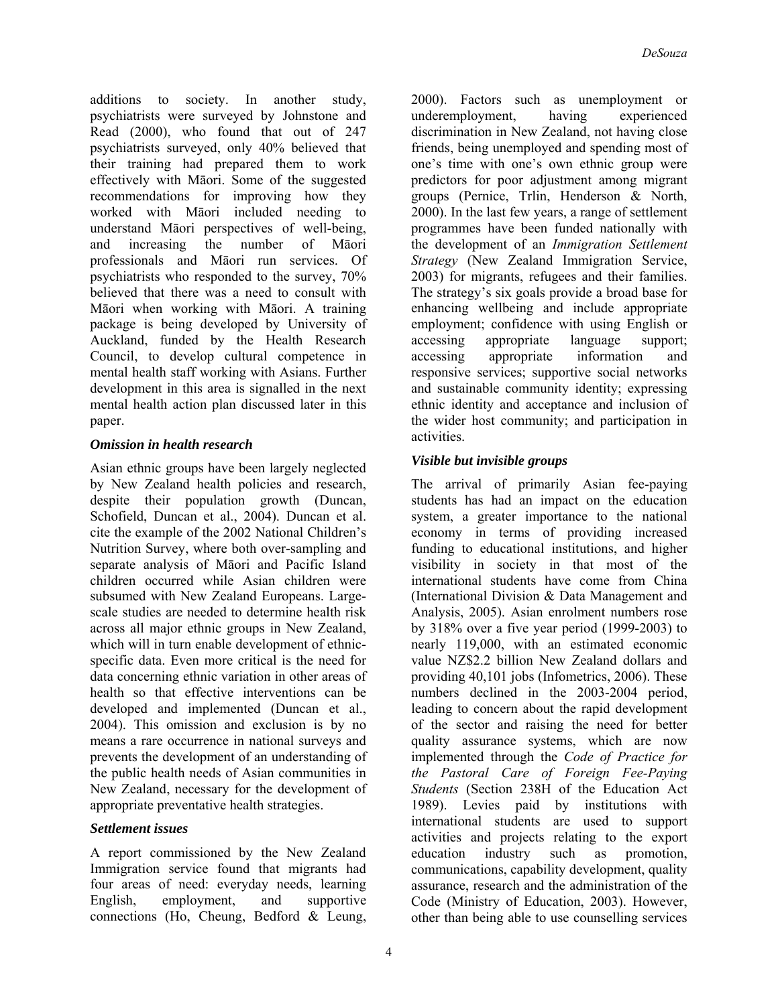additions to society. In another study, psychiatrists were surveyed by Johnstone and Read (2000), who found that out of 247 psychiatrists surveyed, only 40% believed that their training had prepared them to work effectively with Māori. Some of the suggested recommendations for improving how they worked with Māori included needing to understand Māori perspectives of well-being, and increasing the number of Māori professionals and Māori run services. Of psychiatrists who responded to the survey, 70% believed that there was a need to consult with Māori when working with Māori. A training package is being developed by University of Auckland, funded by the Health Research Council, to develop cultural competence in mental health staff working with Asians. Further development in this area is signalled in the next mental health action plan discussed later in this paper.

# *Omission in health research*

Asian ethnic groups have been largely neglected by New Zealand health policies and research, despite their population growth (Duncan, Schofield, Duncan et al., 2004). Duncan et al. cite the example of the 2002 National Children's Nutrition Survey, where both over-sampling and separate analysis of Māori and Pacific Island children occurred while Asian children were subsumed with New Zealand Europeans. Largescale studies are needed to determine health risk across all major ethnic groups in New Zealand, which will in turn enable development of ethnicspecific data. Even more critical is the need for data concerning ethnic variation in other areas of health so that effective interventions can be developed and implemented (Duncan et al., 2004). This omission and exclusion is by no means a rare occurrence in national surveys and prevents the development of an understanding of the public health needs of Asian communities in New Zealand, necessary for the development of appropriate preventative health strategies.

# *Settlement issues*

A report commissioned by the New Zealand Immigration service found that migrants had four areas of need: everyday needs, learning English, employment, and supportive connections (Ho, Cheung, Bedford & Leung,

2000). Factors such as unemployment or underemployment, having experienced discrimination in New Zealand, not having close friends, being unemployed and spending most of one's time with one's own ethnic group were predictors for poor adjustment among migrant groups (Pernice, Trlin, Henderson & North, 2000). In the last few years, a range of settlement programmes have been funded nationally with the development of an *Immigration Settlement Strategy* (New Zealand Immigration Service, 2003) for migrants, refugees and their families. The strategy's six goals provide a broad base for enhancing wellbeing and include appropriate employment; confidence with using English or accessing appropriate language support; accessing appropriate information and responsive services; supportive social networks and sustainable community identity; expressing ethnic identity and acceptance and inclusion of the wider host community; and participation in activities.

# *Visible but invisible groups*

The arrival of primarily Asian fee-paying students has had an impact on the education system, a greater importance to the national economy in terms of providing increased funding to educational institutions, and higher visibility in society in that most of the international students have come from China (International Division & Data Management and Analysis, 2005). Asian enrolment numbers rose by 318% over a five year period (1999-2003) to nearly 119,000, with an estimated economic value NZ\$2.2 billion New Zealand dollars and providing 40,101 jobs (Infometrics, 2006). These numbers declined in the 2003-2004 period, leading to concern about the rapid development of the sector and raising the need for better quality assurance systems, which are now implemented through the *Code of Practice for the Pastoral Care of Foreign Fee-Paying Students* (Section 238H of the Education Act 1989). Levies paid by institutions with international students are used to support activities and projects relating to the export education industry such as promotion, communications, capability development, quality assurance, research and the administration of the Code (Ministry of Education, 2003). However, other than being able to use counselling services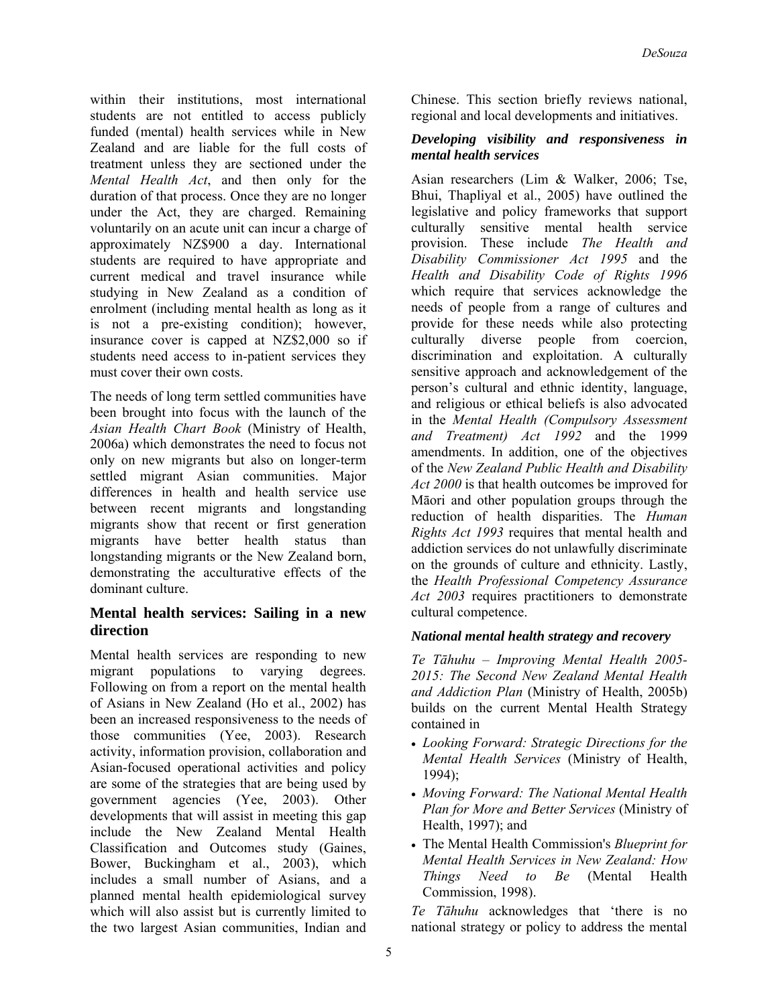within their institutions, most international students are not entitled to access publicly funded (mental) health services while in New Zealand and are liable for the full costs of treatment unless they are sectioned under the *Mental Health Act*, and then only for the duration of that process. Once they are no longer under the Act, they are charged. Remaining voluntarily on an acute unit can incur a charge of approximately NZ\$900 a day. International students are required to have appropriate and current medical and travel insurance while studying in New Zealand as a condition of enrolment (including mental health as long as it is not a pre-existing condition); however, insurance cover is capped at NZ\$2,000 so if students need access to in-patient services they must cover their own costs.

The needs of long term settled communities have been brought into focus with the launch of the *Asian Health Chart Book* (Ministry of Health, 2006a) which demonstrates the need to focus not only on new migrants but also on longer-term settled migrant Asian communities. Major differences in health and health service use between recent migrants and longstanding migrants show that recent or first generation migrants have better health status than longstanding migrants or the New Zealand born, demonstrating the acculturative effects of the dominant culture.

## **Mental health services: Sailing in a new direction**

Mental health services are responding to new migrant populations to varying degrees. Following on from a report on the mental health of Asians in New Zealand (Ho et al., 2002) has been an increased responsiveness to the needs of those communities (Yee, 2003). Research activity, information provision, collaboration and Asian-focused operational activities and policy are some of the strategies that are being used by government agencies (Yee, 2003). Other developments that will assist in meeting this gap include the New Zealand Mental Health Classification and Outcomes study (Gaines, Bower, Buckingham et al., 2003), which includes a small number of Asians, and a planned mental health epidemiological survey which will also assist but is currently limited to the two largest Asian communities, Indian and

Chinese. This section briefly reviews national, regional and local developments and initiatives.

### *Developing visibility and responsiveness in mental health services*

Asian researchers (Lim & Walker, 2006; Tse, Bhui, Thapliyal et al., 2005) have outlined the legislative and policy frameworks that support culturally sensitive mental health service provision. These include *The Health and Disability Commissioner Act 1995* and the *Health and Disability Code of Rights 1996* which require that services acknowledge the needs of people from a range of cultures and provide for these needs while also protecting culturally diverse people from coercion, discrimination and exploitation. A culturally sensitive approach and acknowledgement of the person's cultural and ethnic identity, language, and religious or ethical beliefs is also advocated in the *Mental Health (Compulsory Assessment and Treatment) Act 1992* and the 1999 amendments. In addition, one of the objectives of the *New Zealand Public Health and Disability Act 2000* is that health outcomes be improved for Māori and other population groups through the reduction of health disparities. The *Human Rights Act 1993* requires that mental health and addiction services do not unlawfully discriminate on the grounds of culture and ethnicity. Lastly, the *Health Professional Competency Assurance Act 2003* requires practitioners to demonstrate cultural competence.

# *National mental health strategy and recovery*

*Te Tāhuhu – Improving Mental Health 2005- 2015: The Second New Zealand Mental Health and Addiction Plan* (Ministry of Health, 2005b) builds on the current Mental Health Strategy contained in

- *Looking Forward: Strategic Directions for the Mental Health Services* (Ministry of Health, 1994);
- *Moving Forward: The National Mental Health Plan for More and Better Services* (Ministry of Health, 1997); and
- The Mental Health Commission's *Blueprint for Mental Health Services in New Zealand: How Things Need to Be* (Mental Health Commission, 1998).

*Te Tāhuhu* acknowledges that 'there is no national strategy or policy to address the mental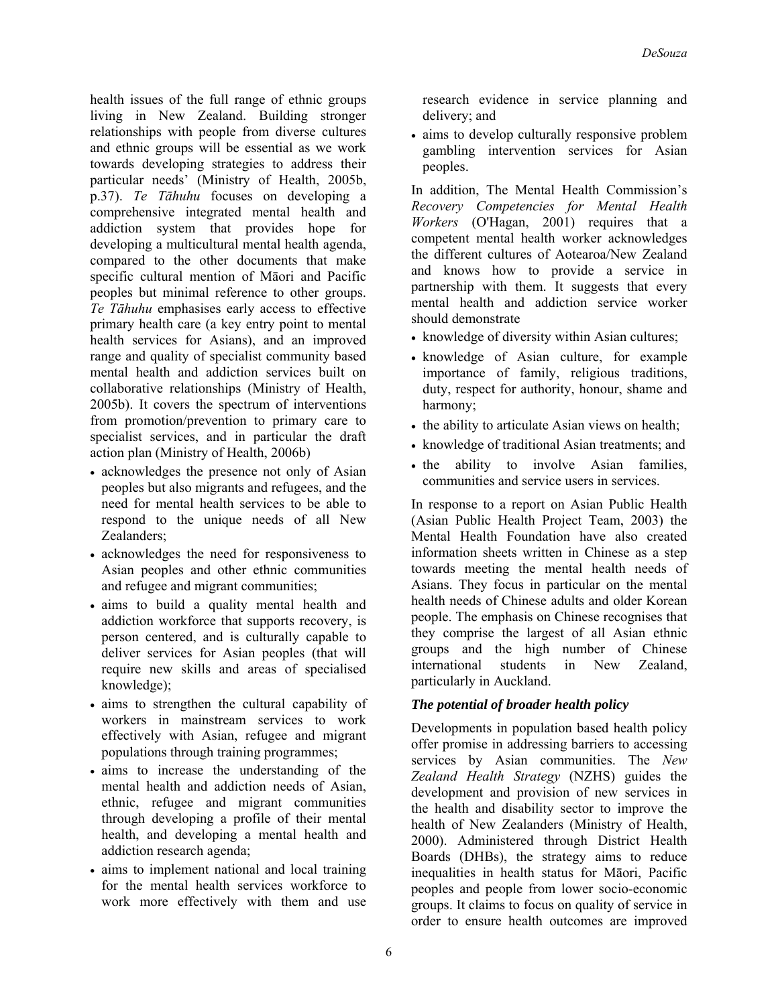health issues of the full range of ethnic groups living in New Zealand. Building stronger relationships with people from diverse cultures and ethnic groups will be essential as we work towards developing strategies to address their particular needs' (Ministry of Health, 2005b, p.37). *Te Tāhuhu* focuses on developing a comprehensive integrated mental health and addiction system that provides hope for developing a multicultural mental health agenda, compared to the other documents that make specific cultural mention of Māori and Pacific peoples but minimal reference to other groups. *Te Tāhuhu* emphasises early access to effective primary health care (a key entry point to mental health services for Asians), and an improved range and quality of specialist community based mental health and addiction services built on collaborative relationships (Ministry of Health, 2005b). It covers the spectrum of interventions from promotion/prevention to primary care to specialist services, and in particular the draft action plan (Ministry of Health, 2006b)

- acknowledges the presence not only of Asian peoples but also migrants and refugees, and the need for mental health services to be able to respond to the unique needs of all New Zealanders;
- acknowledges the need for responsiveness to Asian peoples and other ethnic communities and refugee and migrant communities;
- aims to build a quality mental health and addiction workforce that supports recovery, is person centered, and is culturally capable to deliver services for Asian peoples (that will require new skills and areas of specialised knowledge);
- aims to strengthen the cultural capability of workers in mainstream services to work effectively with Asian, refugee and migrant populations through training programmes;
- aims to increase the understanding of the mental health and addiction needs of Asian, ethnic, refugee and migrant communities through developing a profile of their mental health, and developing a mental health and addiction research agenda;
- aims to implement national and local training for the mental health services workforce to work more effectively with them and use

research evidence in service planning and delivery; and

• aims to develop culturally responsive problem gambling intervention services for Asian peoples.

In addition, The Mental Health Commission's *Recovery Competencies for Mental Health Workers* (O'Hagan, 2001) requires that a competent mental health worker acknowledges the different cultures of Aotearoa/New Zealand and knows how to provide a service in partnership with them. It suggests that every mental health and addiction service worker should demonstrate

- knowledge of diversity within Asian cultures;
- knowledge of Asian culture, for example importance of family, religious traditions, duty, respect for authority, honour, shame and harmony;
- the ability to articulate Asian views on health;
- knowledge of traditional Asian treatments; and
- the ability to involve Asian families, communities and service users in services.

In response to a report on Asian Public Health (Asian Public Health Project Team, 2003) the Mental Health Foundation have also created information sheets written in Chinese as a step towards meeting the mental health needs of Asians. They focus in particular on the mental health needs of Chinese adults and older Korean people. The emphasis on Chinese recognises that they comprise the largest of all Asian ethnic groups and the high number of Chinese international students in New Zealand, particularly in Auckland.

### *The potential of broader health policy*

Developments in population based health policy offer promise in addressing barriers to accessing services by Asian communities. The *New Zealand Health Strategy* (NZHS) guides the development and provision of new services in the health and disability sector to improve the health of New Zealanders (Ministry of Health, 2000). Administered through District Health Boards (DHBs), the strategy aims to reduce inequalities in health status for Māori, Pacific peoples and people from lower socio-economic groups. It claims to focus on quality of service in order to ensure health outcomes are improved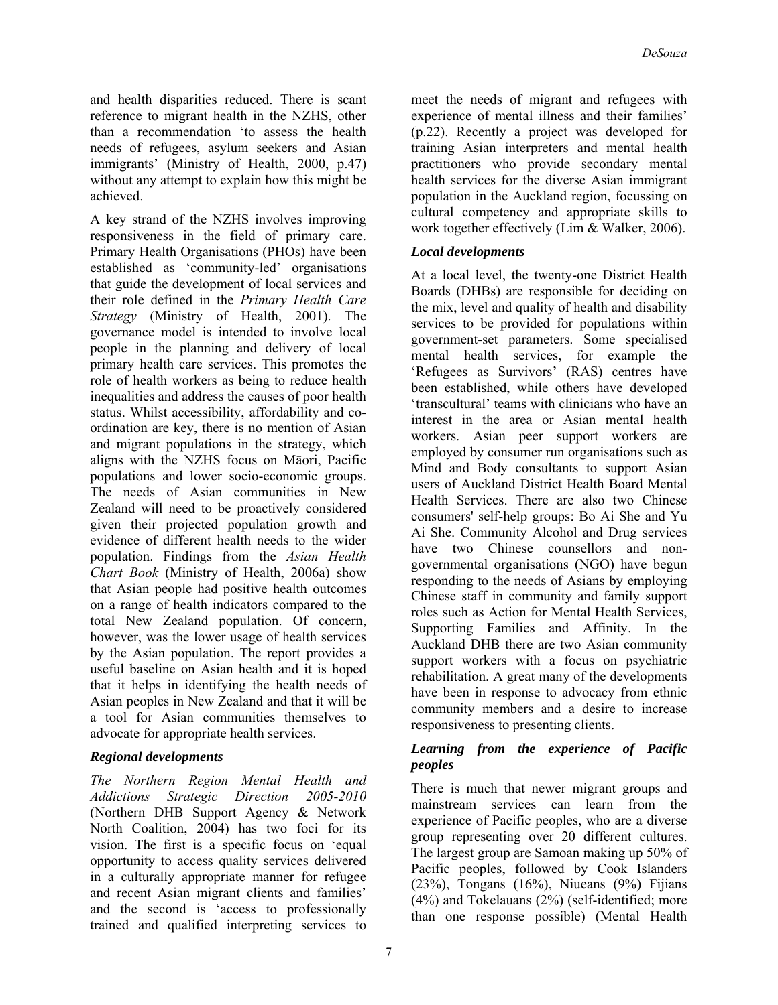and health disparities reduced. There is scant reference to migrant health in the NZHS, other than a recommendation 'to assess the health needs of refugees, asylum seekers and Asian immigrants' (Ministry of Health, 2000, p.47) without any attempt to explain how this might be achieved.

A key strand of the NZHS involves improving responsiveness in the field of primary care. Primary Health Organisations (PHOs) have been established as 'community-led' organisations that guide the development of local services and their role defined in the *Primary Health Care Strategy* (Ministry of Health, 2001). The governance model is intended to involve local people in the planning and delivery of local primary health care services. This promotes the role of health workers as being to reduce health inequalities and address the causes of poor health status. Whilst accessibility, affordability and coordination are key, there is no mention of Asian and migrant populations in the strategy, which aligns with the NZHS focus on Māori, Pacific populations and lower socio-economic groups. The needs of Asian communities in New Zealand will need to be proactively considered given their projected population growth and evidence of different health needs to the wider population. Findings from the *Asian Health Chart Book* (Ministry of Health, 2006a) show that Asian people had positive health outcomes on a range of health indicators compared to the total New Zealand population. Of concern, however, was the lower usage of health services by the Asian population. The report provides a useful baseline on Asian health and it is hoped that it helps in identifying the health needs of Asian peoples in New Zealand and that it will be a tool for Asian communities themselves to advocate for appropriate health services.

### *Regional developments*

*The Northern Region Mental Health and Addictions Strategic Direction 2005-2010* (Northern DHB Support Agency & Network North Coalition, 2004) has two foci for its vision. The first is a specific focus on 'equal opportunity to access quality services delivered in a culturally appropriate manner for refugee and recent Asian migrant clients and families' and the second is 'access to professionally trained and qualified interpreting services to

meet the needs of migrant and refugees with experience of mental illness and their families' (p.22). Recently a project was developed for training Asian interpreters and mental health practitioners who provide secondary mental health services for the diverse Asian immigrant population in the Auckland region, focussing on cultural competency and appropriate skills to work together effectively (Lim & Walker, 2006).

## *Local developments*

At a local level, the twenty-one District Health Boards (DHBs) are responsible for deciding on the mix, level and quality of health and disability services to be provided for populations within government-set parameters. Some specialised mental health services, for example the 'Refugees as Survivors' (RAS) centres have been established, while others have developed 'transcultural' teams with clinicians who have an interest in the area or Asian mental health workers. Asian peer support workers are employed by consumer run organisations such as Mind and Body consultants to support Asian users of Auckland District Health Board Mental Health Services. There are also two Chinese consumers' self-help groups: Bo Ai She and Yu Ai She. Community Alcohol and Drug services have two Chinese counsellors and nongovernmental organisations (NGO) have begun responding to the needs of Asians by employing Chinese staff in community and family support roles such as Action for Mental Health Services, Supporting Families and Affinity. In the Auckland DHB there are two Asian community support workers with a focus on psychiatric rehabilitation. A great many of the developments have been in response to advocacy from ethnic community members and a desire to increase responsiveness to presenting clients.

### *Learning from the experience of Pacific peoples*

There is much that newer migrant groups and mainstream services can learn from the experience of Pacific peoples, who are a diverse group representing over 20 different cultures. The largest group are Samoan making up 50% of Pacific peoples, followed by Cook Islanders (23%), Tongans  $(16%)$ , Niueans  $(9%)$  Fijians (4%) and Tokelauans (2%) (self-identified; more than one response possible) (Mental Health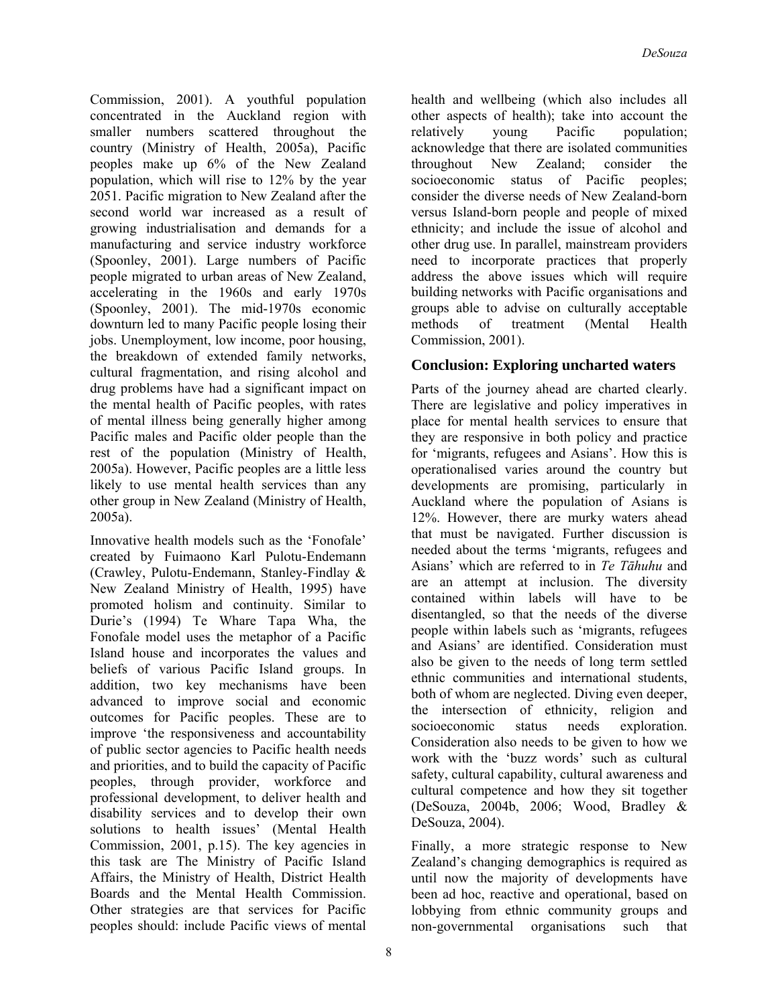Commission, 2001). A youthful population concentrated in the Auckland region with smaller numbers scattered throughout the country (Ministry of Health, 2005a), Pacific peoples make up 6% of the New Zealand population, which will rise to 12% by the year 2051. Pacific migration to New Zealand after the second world war increased as a result of growing industrialisation and demands for a manufacturing and service industry workforce (Spoonley, 2001). Large numbers of Pacific people migrated to urban areas of New Zealand, accelerating in the 1960s and early 1970s (Spoonley, 2001). The mid-1970s economic downturn led to many Pacific people losing their jobs. Unemployment, low income, poor housing, the breakdown of extended family networks, cultural fragmentation, and rising alcohol and drug problems have had a significant impact on the mental health of Pacific peoples, with rates of mental illness being generally higher among Pacific males and Pacific older people than the rest of the population (Ministry of Health, 2005a). However, Pacific peoples are a little less likely to use mental health services than any other group in New Zealand (Ministry of Health, 2005a).

Innovative health models such as the 'Fonofale' created by Fuimaono Karl Pulotu-Endemann (Crawley, Pulotu-Endemann, Stanley-Findlay & New Zealand Ministry of Health, 1995) have promoted holism and continuity. Similar to Durie's (1994) Te Whare Tapa Wha, the Fonofale model uses the metaphor of a Pacific Island house and incorporates the values and beliefs of various Pacific Island groups. In addition, two key mechanisms have been advanced to improve social and economic outcomes for Pacific peoples. These are to improve 'the responsiveness and accountability of public sector agencies to Pacific health needs and priorities, and to build the capacity of Pacific peoples, through provider, workforce and professional development, to deliver health and disability services and to develop their own solutions to health issues' (Mental Health Commission, 2001, p.15). The key agencies in this task are The Ministry of Pacific Island Affairs, the Ministry of Health, District Health Boards and the Mental Health Commission. Other strategies are that services for Pacific peoples should: include Pacific views of mental

8

health and wellbeing (which also includes all other aspects of health); take into account the relatively young Pacific population; acknowledge that there are isolated communities throughout New Zealand; consider the socioeconomic status of Pacific peoples; consider the diverse needs of New Zealand-born versus Island-born people and people of mixed ethnicity; and include the issue of alcohol and other drug use. In parallel, mainstream providers need to incorporate practices that properly address the above issues which will require building networks with Pacific organisations and groups able to advise on culturally acceptable methods of treatment (Mental Health Commission, 2001).

# **Conclusion: Exploring uncharted waters**

Parts of the journey ahead are charted clearly. There are legislative and policy imperatives in place for mental health services to ensure that they are responsive in both policy and practice for 'migrants, refugees and Asians'. How this is operationalised varies around the country but developments are promising, particularly in Auckland where the population of Asians is 12%. However, there are murky waters ahead that must be navigated. Further discussion is needed about the terms 'migrants, refugees and Asians' which are referred to in *Te Tāhuhu* and are an attempt at inclusion. The diversity contained within labels will have to be disentangled, so that the needs of the diverse people within labels such as 'migrants, refugees and Asians' are identified. Consideration must also be given to the needs of long term settled ethnic communities and international students, both of whom are neglected. Diving even deeper, the intersection of ethnicity, religion and socioeconomic status needs exploration. Consideration also needs to be given to how we work with the 'buzz words' such as cultural safety, cultural capability, cultural awareness and cultural competence and how they sit together (DeSouza, 2004b, 2006; Wood, Bradley & DeSouza, 2004).

Finally, a more strategic response to New Zealand's changing demographics is required as until now the majority of developments have been ad hoc, reactive and operational, based on lobbying from ethnic community groups and non-governmental organisations such that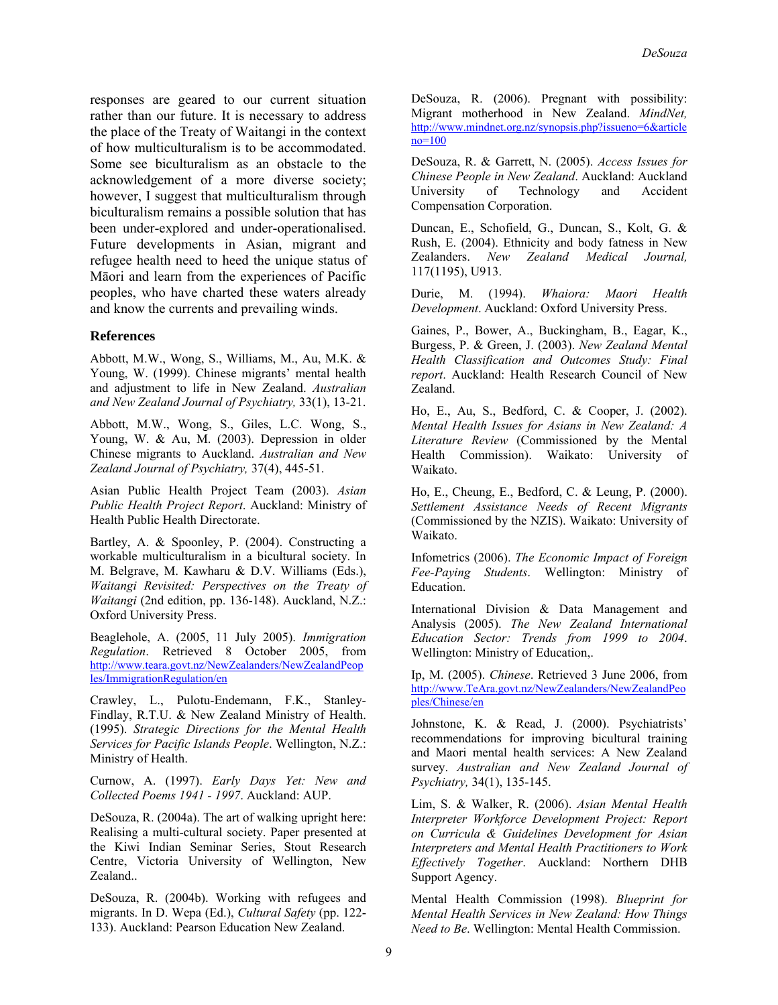responses are geared to our current situation rather than our future. It is necessary to address the place of the Treaty of Waitangi in the context of how multiculturalism is to be accommodated. Some see biculturalism as an obstacle to the acknowledgement of a more diverse society; however, I suggest that multiculturalism through biculturalism remains a possible solution that has been under-explored and under-operationalised. Future developments in Asian, migrant and refugee health need to heed the unique status of Māori and learn from the experiences of Pacific peoples, who have charted these waters already and know the currents and prevailing winds.

#### **References**

Abbott, M.W., Wong, S., Williams, M., Au, M.K. & Young, W. (1999). Chinese migrants' mental health and adjustment to life in New Zealand. *Australian and New Zealand Journal of Psychiatry,* 33(1), 13-21.

Abbott, M.W., Wong, S., Giles, L.C. Wong, S., Young, W. & Au, M. (2003). Depression in older Chinese migrants to Auckland. *Australian and New Zealand Journal of Psychiatry,* 37(4), 445-51.

Asian Public Health Project Team (2003). *Asian Public Health Project Report*. Auckland: Ministry of Health Public Health Directorate.

Bartley, A. & Spoonley, P. (2004). Constructing a workable multiculturalism in a bicultural society. In M. Belgrave, M. Kawharu & D.V. Williams (Eds.), *Waitangi Revisited: Perspectives on the Treaty of Waitangi* (2nd edition, pp. 136-148). Auckland, N.Z.: Oxford University Press.

Beaglehole, A. (2005, 11 July 2005). *Immigration Regulation*. Retrieved 8 October 2005, from [http://www.teara.govt.nz/NewZealanders/NewZealandPeop](http://www.teara.govt.nz/NewZealanders/NewZealandPeoples/ImmigrationRegulation/en) [les/ImmigrationRegulation/en](http://www.teara.govt.nz/NewZealanders/NewZealandPeoples/ImmigrationRegulation/en)

Crawley, L., Pulotu-Endemann, F.K., Stanley-Findlay, R.T.U. & New Zealand Ministry of Health. (1995). *Strategic Directions for the Mental Health Services for Pacific Islands People*. Wellington, N.Z.: Ministry of Health.

Curnow, A. (1997). *Early Days Yet: New and Collected Poems 1941 - 1997*. Auckland: AUP.

DeSouza, R. (2004a). The art of walking upright here: Realising a multi-cultural society. Paper presented at the Kiwi Indian Seminar Series, Stout Research Centre, Victoria University of Wellington, New Zealand..

DeSouza, R. (2004b). Working with refugees and migrants. In D. Wepa (Ed.), *Cultural Safety* (pp. 122- 133). Auckland: Pearson Education New Zealand.

DeSouza, R. (2006). Pregnant with possibility: Migrant motherhood in New Zealand. *MindNet,*  [http://www.mindnet.org.nz/synopsis.php?issueno=6&article](http://www.mindnet.org.nz/synopsis.php?issueno=6&articleno=100)  $no=100$ 

DeSouza, R. & Garrett, N. (2005). *Access Issues for Chinese People in New Zealand*. Auckland: Auckland University of Technology and Accident Compensation Corporation.

Duncan, E., Schofield, G., Duncan, S., Kolt, G. & Rush, E. (2004). Ethnicity and body fatness in New Zealanders. *New Zealand Medical Journal,*  117(1195), U913.

Durie, M. (1994). *Whaiora: Maori Health Development*. Auckland: Oxford University Press.

Gaines, P., Bower, A., Buckingham, B., Eagar, K., Burgess, P. & Green, J. (2003). *New Zealand Mental Health Classification and Outcomes Study: Final report*. Auckland: Health Research Council of New Zealand.

Ho, E., Au, S., Bedford, C. & Cooper, J. (2002). *Mental Health Issues for Asians in New Zealand: A Literature Review* (Commissioned by the Mental Health Commission). Waikato: University of Waikato.

Ho, E., Cheung, E., Bedford, C. & Leung, P. (2000). *Settlement Assistance Needs of Recent Migrants* (Commissioned by the NZIS). Waikato: University of Waikato.

Infometrics (2006). *The Economic Impact of Foreign Fee-Paying Students*. Wellington: Ministry of Education.

International Division & Data Management and Analysis (2005). *The New Zealand International Education Sector: Trends from 1999 to 2004*. Wellington: Ministry of Education,.

Ip, M. (2005). *Chinese*. Retrieved 3 June 2006, from [http://www.TeAra.govt.nz/NewZealanders/NewZealandPeo](http://www.teara.govt.nz/NewZealanders/NewZealandPeoples/Chinese/en) [ples/Chinese/en](http://www.teara.govt.nz/NewZealanders/NewZealandPeoples/Chinese/en)

Johnstone, K. & Read, J. (2000). Psychiatrists' recommendations for improving bicultural training and Maori mental health services: A New Zealand survey. *Australian and New Zealand Journal of Psychiatry,* 34(1), 135-145.

Lim, S. & Walker, R. (2006). *Asian Mental Health Interpreter Workforce Development Project: Report on Curricula & Guidelines Development for Asian Interpreters and Mental Health Practitioners to Work Effectively Together*. Auckland: Northern DHB Support Agency.

Mental Health Commission (1998). *Blueprint for Mental Health Services in New Zealand: How Things Need to Be*. Wellington: Mental Health Commission.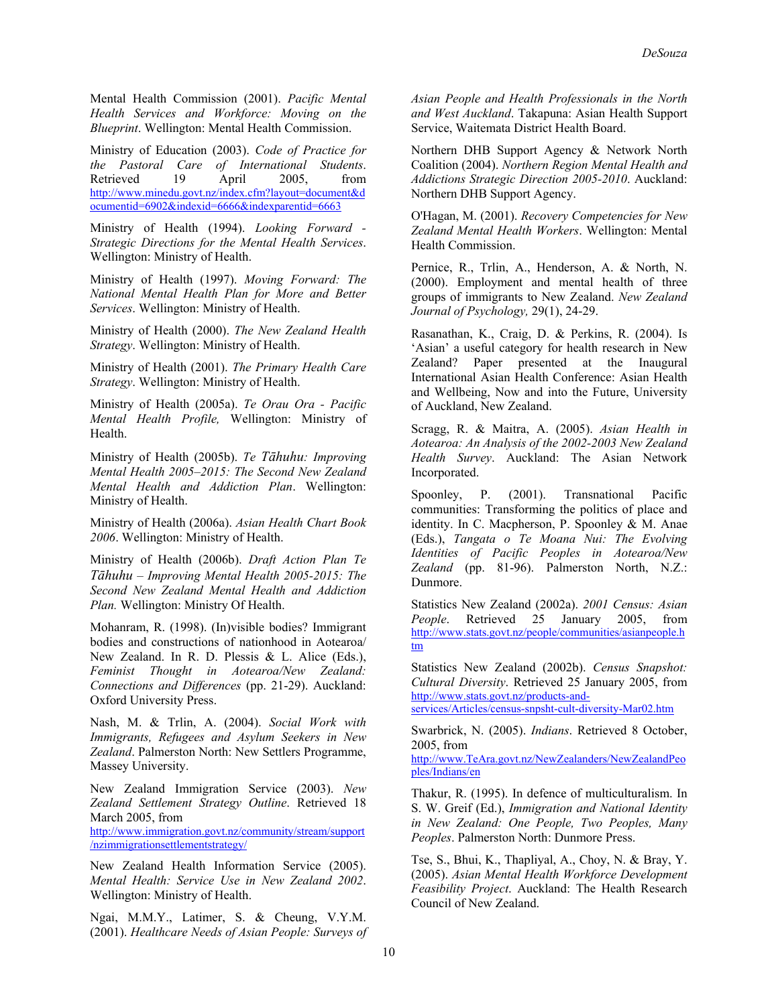Mental Health Commission (2001). *Pacific Mental Health Services and Workforce: Moving on the Blueprint*. Wellington: Mental Health Commission.

Ministry of Education (2003). *Code of Practice for the Pastoral Care of International Students*. Retrieved 19 April 2005, from [http://www.minedu.govt.nz/index.cfm?layout=document&d](http://www.minedu.govt.nz/index.cfm?layout=document&documentid=6902&indexid=6666&indexparentid=6663) [ocumentid=6902&indexid=6666&indexparentid=6663](http://www.minedu.govt.nz/index.cfm?layout=document&documentid=6902&indexid=6666&indexparentid=6663)

Ministry of Health (1994). *Looking Forward - Strategic Directions for the Mental Health Services*. Wellington: Ministry of Health.

Ministry of Health (1997). *Moving Forward: The National Mental Health Plan for More and Better Services*. Wellington: Ministry of Health.

Ministry of Health (2000). *The New Zealand Health Strategy*. Wellington: Ministry of Health.

Ministry of Health (2001). *The Primary Health Care Strategy*. Wellington: Ministry of Health.

Ministry of Health (2005a). *Te Orau Ora - Pacific Mental Health Profile,* Wellington: Ministry of Health.

Ministry of Health (2005b). *Te Tāhuhu: Improving Mental Health 2005–2015: The Second New Zealand Mental Health and Addiction Plan*. Wellington: Ministry of Health.

Ministry of Health (2006a). *Asian Health Chart Book 2006*. Wellington: Ministry of Health.

Ministry of Health (2006b). *Draft Action Plan Te Tāhuhu – Improving Mental Health 2005-2015: The Second New Zealand Mental Health and Addiction Plan.* Wellington: Ministry Of Health.

Mohanram, R. (1998). (In)visible bodies? Immigrant bodies and constructions of nationhood in Aotearoa/ New Zealand. In R. D. Plessis & L. Alice (Eds.), *Feminist Thought in Aotearoa/New Zealand: Connections and Differences* (pp. 21-29). Auckland: Oxford University Press.

Nash, M. & Trlin, A. (2004). *Social Work with Immigrants, Refugees and Asylum Seekers in New Zealand*. Palmerston North: New Settlers Programme, Massey University.

New Zealand Immigration Service (2003). *New Zealand Settlement Strategy Outline*. Retrieved 18 March 2005, from

[http://www.immigration.govt.nz/community/stream/support](http://www.immigration.govt.nz/community/stream/support/nzimmigrationsettlementstrategy/) [/nzimmigrationsettlementstrategy/](http://www.immigration.govt.nz/community/stream/support/nzimmigrationsettlementstrategy/)

New Zealand Health Information Service (2005). *Mental Health: Service Use in New Zealand 2002*. Wellington: Ministry of Health.

Ngai, M.M.Y., Latimer, S. & Cheung, V.Y.M. (2001). *Healthcare Needs of Asian People: Surveys of*  *Asian People and Health Professionals in the North and West Auckland*. Takapuna: Asian Health Support Service, Waitemata District Health Board.

Northern DHB Support Agency & Network North Coalition (2004). *Northern Region Mental Health and Addictions Strategic Direction 2005-2010*. Auckland: Northern DHB Support Agency.

O'Hagan, M. (2001). *Recovery Competencies for New Zealand Mental Health Workers*. Wellington: Mental Health Commission.

Pernice, R., Trlin, A., Henderson, A. & North, N. (2000). Employment and mental health of three groups of immigrants to New Zealand. *New Zealand Journal of Psychology,* 29(1), 24-29.

Rasanathan, K., Craig, D. & Perkins, R. (2004). Is 'Asian' a useful category for health research in New Zealand? Paper presented at the Inaugural International Asian Health Conference: Asian Health and Wellbeing, Now and into the Future, University of Auckland, New Zealand.

Scragg, R. & Maitra, A. (2005). *Asian Health in Aotearoa: An Analysis of the 2002-2003 New Zealand Health Survey*. Auckland: The Asian Network Incorporated.

Spoonley, P. (2001). Transnational Pacific communities: Transforming the politics of place and identity. In C. Macpherson, P. Spoonley & M. Anae (Eds.), *Tangata o Te Moana Nui: The Evolving Identities of Pacific Peoples in Aotearoa/New Zealand* (pp. 81-96). Palmerston North, N.Z.: Dunmore.

Statistics New Zealand (2002a). *2001 Census: Asian People*. Retrieved 25 January 2005, from [http://www.stats.govt.nz/people/communities/asianpeople.h](http://www.stats.govt.nz/people/communities/asianpeople.htm) [tm](http://www.stats.govt.nz/people/communities/asianpeople.htm)

Statistics New Zealand (2002b). *Census Snapshot: Cultural Diversity*. Retrieved 25 January 2005, from [http://www.stats.govt.nz/products-and](http://www.stats.govt.nz/products-and-services/Articles/census-snpsht-cult-diversity-Mar02.htm)[services/Articles/census-snpsht-cult-diversity-Mar02.htm](http://www.stats.govt.nz/products-and-services/Articles/census-snpsht-cult-diversity-Mar02.htm)

Swarbrick, N. (2005). *Indians*. Retrieved 8 October, 2005, from

[http://www.TeAra.govt.nz/NewZealanders/NewZealandPeo](http://www.teara.govt.nz/NewZealanders/NewZealandPeoples/Indians/en) [ples/Indians/en](http://www.teara.govt.nz/NewZealanders/NewZealandPeoples/Indians/en)

Thakur, R. (1995). In defence of multiculturalism. In S. W. Greif (Ed.), *Immigration and National Identity in New Zealand: One People, Two Peoples, Many Peoples*. Palmerston North: Dunmore Press.

Tse, S., Bhui, K., Thapliyal, A., Choy, N. & Bray, Y. (2005). *Asian Mental Health Workforce Development Feasibility Project*. Auckland: The Health Research Council of New Zealand.